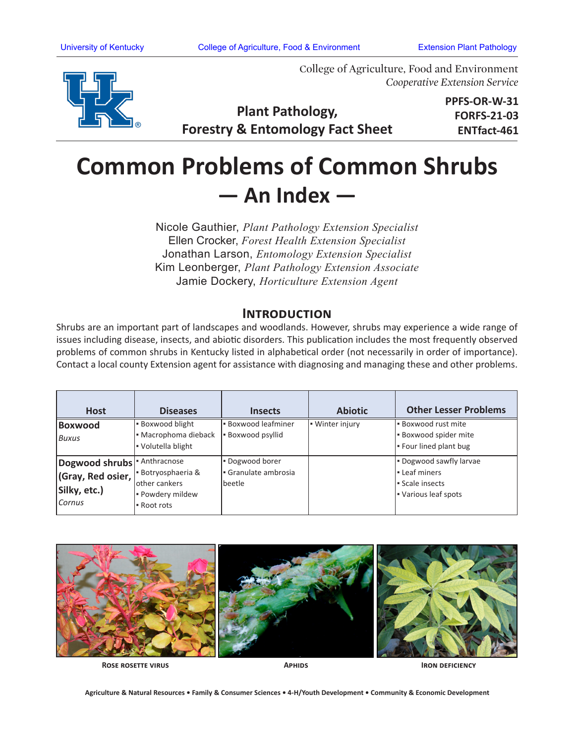

College of Agriculture, Food and Environment *Cooperative Extension Service*

**Plant Pathology, Forestry & Entomology Fact Sheet** **PPFS-OR-W-31 FORFS-21-03 ENTfact-461**

## **Common Problems of Common Shrubs — An Index —**

Nicole Gauthier, *Plant Pathology Extension Specialist*  Ellen Crocker, *Forest Health Extension Specialist* Jonathan Larson, *Entomology Extension Specialist* Kim Leonberger, *Plant Pathology Extension Associate* Jamie Dockery, *Horticulture Extension Agent*

## **Introduction**

Shrubs are an important part of landscapes and woodlands. However, shrubs may experience a wide range of issues including disease, insects, and abiotic disorders. This publication includes the most frequently observed problems of common shrubs in Kentucky listed in alphabetical order (not necessarily in order of importance). Contact a local county Extension agent for assistance with diagnosing and managing these and other problems.

| <b>Host</b>                                                                            | <b>Diseases</b>                                                    | <b>Insects</b>                                | <b>Abiotic</b>  | <b>Other Lesser Problems</b>                                                  |
|----------------------------------------------------------------------------------------|--------------------------------------------------------------------|-----------------------------------------------|-----------------|-------------------------------------------------------------------------------|
| <b>Boxwood</b><br>Buxus                                                                | · Boxwood blight<br>· Macrophoma dieback<br>Volutella blight       | <b>Boxwood leafminer</b><br>- Boxwood psyllid | - Winter injury | Boxwood rust mite<br><b>Boxwood spider mite</b><br>Four lined plant bug       |
| Dogwood shrubs <sup> </sup> Anthracnose<br>(Gray, Red osier,<br>Silky, etc.)<br>Cornus | Botryosphaeria &<br>other cankers<br>- Powdery mildew<br>Root rots | Dogwood borer<br>Granulate ambrosia<br>beetle |                 | - Dogwood sawfly larvae<br>Leaf miners<br>Scale insects<br>Various leaf spots |



**Rose rosette virus**

**Aphids Iron deficiency**

**Agriculture & Natural Resources • Family & Consumer Sciences • 4-H/Youth Development • Community & Economic Development**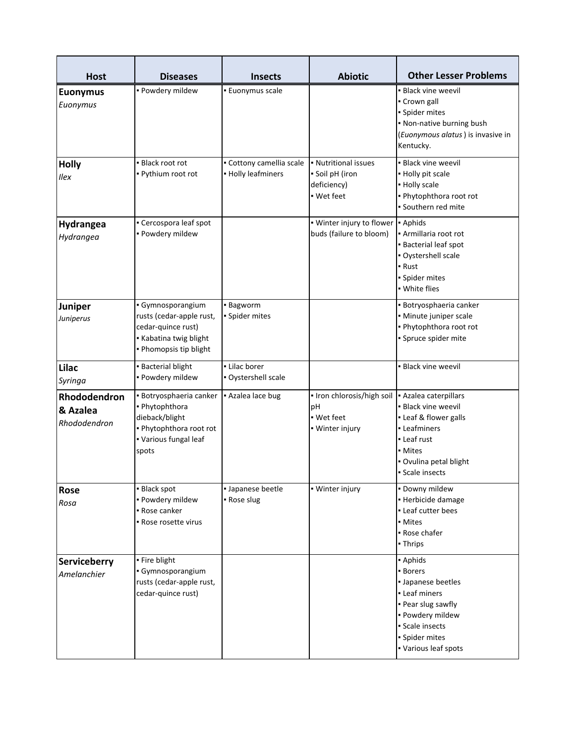| <b>Host</b>                              | <b>Diseases</b>                                                                                                          | <b>Insects</b>                                 | <b>Abiotic</b>                                                                          | <b>Other Lesser Problems</b>                                                                                                                                          |
|------------------------------------------|--------------------------------------------------------------------------------------------------------------------------|------------------------------------------------|-----------------------------------------------------------------------------------------|-----------------------------------------------------------------------------------------------------------------------------------------------------------------------|
| <b>Euonymus</b><br>Euonymus              | · Powdery mildew                                                                                                         | <b>Euonymus scale</b>                          |                                                                                         | • Black vine weevil<br>- Crown gall<br>· Spider mites<br>. Non-native burning bush<br>(Euonymous alatus) is invasive in<br>Kentucky.                                  |
| <b>Holly</b><br>Ilex                     | · Black root rot<br>- Pythium root rot                                                                                   | • Cottony camellia scale<br>• Holly leafminers | • Nutritional issues<br>Soil pH (iron<br>deficiency)<br>- Wet feet                      | • Black vine weevil<br>- Holly pit scale<br>- Holly scale<br>. Phytophthora root rot<br>· Southern red mite                                                           |
| Hydrangea<br>Hydrangea                   | • Cercospora leaf spot<br>· Powdery mildew                                                                               |                                                | • Winter injury to flower • Aphids<br>buds (failure to bloom)                           | - Armillaria root rot<br><b>Bacterial leaf spot</b><br>· Oystershell scale<br>• Rust<br>· Spider mites<br>· White flies                                               |
| Juniper<br>Juniperus                     | · Gymnosporangium<br>rusts (cedar-apple rust,<br>cedar-quince rust)<br>Kabatina twig blight<br>. Phomopsis tip blight    | - Bagworm<br>· Spider mites                    |                                                                                         | · Botryosphaeria canker<br>· Minute juniper scale<br>. Phytophthora root rot<br>· Spruce spider mite                                                                  |
| Lilac<br>Syringa                         | <b>Bacterial blight</b><br>· Powdery mildew                                                                              | - Lilac borer<br>· Oystershell scale           |                                                                                         | • Black vine weevil                                                                                                                                                   |
| Rhododendron<br>& Azalea<br>Rhododendron | · Botryosphaeria canker<br>· Phytophthora<br>dieback/blight<br>. Phytophthora root rot<br>• Various fungal leaf<br>spots | - Azalea lace bug                              | • Iron chlorosis/high soil   Azalea caterpillars<br>pH<br>• Wet feet<br>• Winter injury | · Black vine weevil<br>• Leaf & flower galls<br>- Leafminers<br>- Leaf rust<br>• Mites<br>· Ovulina petal blight<br>Scale insects                                     |
| Rose<br>Rosa                             | - Black spot<br>· Powdery mildew<br>- Rose canker<br>- Rose rosette virus                                                | · Japanese beetle<br>- Rose slug               | • Winter injury                                                                         | · Downy mildew<br>· Herbicide damage<br>- Leaf cutter bees<br>• Mites<br>- Rose chafer<br>• Thrips                                                                    |
| Serviceberry<br>Amelanchier              | • Fire blight<br>· Gymnosporangium<br>rusts (cedar-apple rust,<br>cedar-quince rust)                                     |                                                |                                                                                         | - Aphids<br><b>Borers</b><br>• Japanese beetles<br>- Leaf miners<br>- Pear slug sawfly<br>· Powdery mildew<br>Scale insects<br>· Spider mites<br>• Various leaf spots |